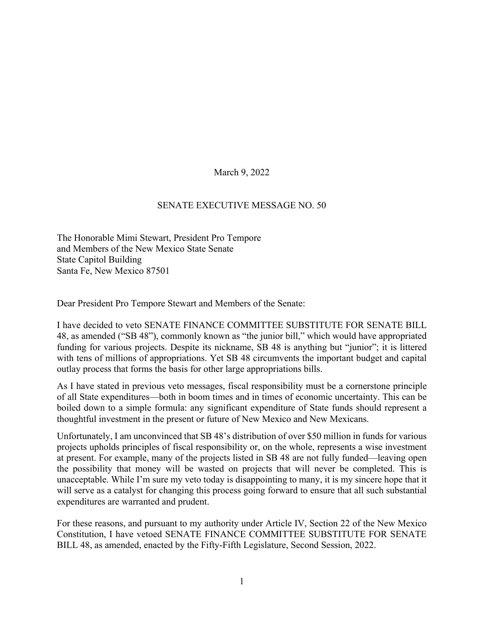March 9, 2022

## SENATE EXECUTIVE MESSAGE NO. 50

The Honorable Mimi Stewart, President Pro Tempore and Members of the New Mexico State Senate State Capitol Building Santa Fe, New Mexico 87501

Dear President Pro Tempore Stewart and Members of the Senate:

I have decided to veto SENATE FINANCE COMMITTEE SUBSTITUTE FOR SENATE BILL 48, as amended ("SB 48"), commonly known as "the junior bill," which would have appropriated funding for various projects. Despite its nickname, SB 48 is anything but "junior"; it is littered with tens of millions of appropriations. Yet SB 48 circumvents the important budget and capital outlay process that forms the basis for other large appropriations bills.

As I have stated in previous veto messages, fiscal responsibility must be a cornerstone principle of all State expenditures—both in boom times and in times of economic uncertainty. This can be boiled down to a simple formula: any significant expenditure of State funds should represent a thoughtful investment in the present or future of New Mexico and New Mexicans.

Unfortunately, I am unconvinced that SB 48's distribution of over \$50 million in funds for various projects upholds principles of fiscal responsibility or, on the whole, represents a wise investment at present. For example, many of the projects listed in SB 48 are not fully funded—leaving open the possibility that money will be wasted on projects that will never be completed. This is unacceptable. While I'm sure my veto today is disappointing to many, it is my sincere hope that it will serve as a catalyst for changing this process going forward to ensure that all such substantial expenditures are warranted and prudent.

For these reasons, and pursuant to my authority under Article IV, Section 22 of the New Mexico Constitution, I have vetoed SENATE FINANCE COMMITTEE SUBSTITUTE FOR SENATE BILL 48, as amended, enacted by the Fifty-Fifth Legislature, Second Session, 2022.